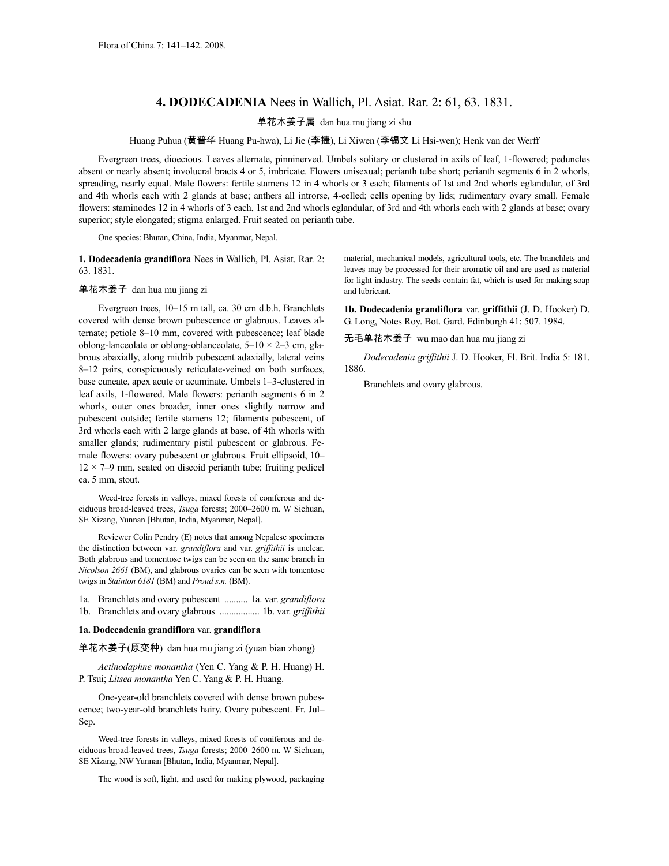## **4. DODECADENIA** Nees in Wallich, Pl. Asiat. Rar. 2: 61, 63. 1831.

## 单花木姜子属 dan hua mu jiang zi shu

Huang Puhua (黄普华 Huang Pu-hwa), Li Jie (李捷), Li Xiwen (李锡文 Li Hsi-wen); Henk van der Werff

Evergreen trees, dioecious. Leaves alternate, pinninerved. Umbels solitary or clustered in axils of leaf, 1-flowered; peduncles absent or nearly absent; involucral bracts 4 or 5, imbricate. Flowers unisexual; perianth tube short; perianth segments 6 in 2 whorls, spreading, nearly equal. Male flowers: fertile stamens 12 in 4 whorls or 3 each; filaments of 1st and 2nd whorls eglandular, of 3rd and 4th whorls each with 2 glands at base; anthers all introrse, 4-celled; cells opening by lids; rudimentary ovary small. Female flowers: staminodes 12 in 4 whorls of 3 each, 1st and 2nd whorls eglandular, of 3rd and 4th whorls each with 2 glands at base; ovary superior; style elongated; stigma enlarged. Fruit seated on perianth tube.

One species: Bhutan, China, India, Myanmar, Nepal.

**1. Dodecadenia grandiflora** Nees in Wallich, Pl. Asiat. Rar. 2: 63. 1831.

## 单花木姜子 dan hua mu jiang zi

Evergreen trees, 10–15 m tall, ca. 30 cm d.b.h. Branchlets covered with dense brown pubescence or glabrous. Leaves alternate; petiole 8–10 mm, covered with pubescence; leaf blade oblong-lanceolate or oblong-oblanceolate,  $5-10 \times 2-3$  cm, glabrous abaxially, along midrib pubescent adaxially, lateral veins 8–12 pairs, conspicuously reticulate-veined on both surfaces, base cuneate, apex acute or acuminate. Umbels 1–3-clustered in leaf axils, 1-flowered. Male flowers: perianth segments 6 in 2 whorls, outer ones broader, inner ones slightly narrow and pubescent outside; fertile stamens 12; filaments pubescent, of 3rd whorls each with 2 large glands at base, of 4th whorls with smaller glands; rudimentary pistil pubescent or glabrous. Female flowers: ovary pubescent or glabrous. Fruit ellipsoid, 10–  $12 \times 7-9$  mm, seated on discoid perianth tube; fruiting pedicel ca. 5 mm, stout.

Weed-tree forests in valleys, mixed forests of coniferous and deciduous broad-leaved trees, *Tsuga* forests; 2000–2600 m. W Sichuan, SE Xizang, Yunnan [Bhutan, India, Myanmar, Nepal].

Reviewer Colin Pendry (E) notes that among Nepalese specimens the distinction between var. *grandiflora* and var. *griffithii* is unclear. Both glabrous and tomentose twigs can be seen on the same branch in *Nicolson 2661* (BM), and glabrous ovaries can be seen with tomentose twigs in *Stainton 6181* (BM) and *Proud s.n.* (BM).

1a. Branchlets and ovary pubescent .......... 1a. var. *grandiflora* 1b. Branchlets and ovary glabrous ................. 1b. var. *griffithii*

## **1a. Dodecadenia grandiflora** var. **grandiflora**

单花木姜子(原变种) dan hua mu jiang zi (yuan bian zhong)

*Actinodaphne monantha* (Yen C. Yang & P. H. Huang) H. P. Tsui; *Litsea monantha* Yen C. Yang & P. H. Huang.

One-year-old branchlets covered with dense brown pubescence; two-year-old branchlets hairy. Ovary pubescent. Fr. Jul– Sep.

Weed-tree forests in valleys, mixed forests of coniferous and deciduous broad-leaved trees, *Tsuga* forests; 2000–2600 m. W Sichuan, SE Xizang, NW Yunnan [Bhutan, India, Myanmar, Nepal].

The wood is soft, light, and used for making plywood, packaging

material, mechanical models, agricultural tools, etc. The branchlets and leaves may be processed for their aromatic oil and are used as material for light industry. The seeds contain fat, which is used for making soap and lubricant.

**1b. Dodecadenia grandiflora** var. **griffithii** (J. D. Hooker) D. G. Long, Notes Roy. Bot. Gard. Edinburgh 41: 507. 1984.

无毛单花木姜子 wu mao dan hua mu jiang zi

*Dodecadenia griffithii* J. D. Hooker, Fl. Brit. India 5: 181. 1886.

Branchlets and ovary glabrous.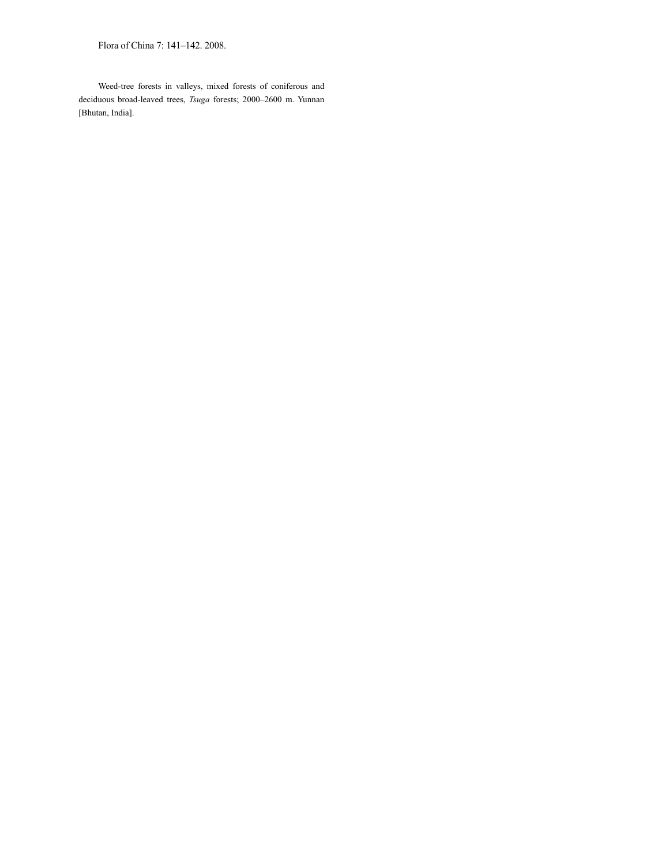Flora of China 7: 141–142. 2008.

Weed-tree forests in valleys, mixed forests of coniferous and deciduous broad-leaved trees, *Tsuga* forests; 2000–2600 m. Yunnan [Bhutan, India].